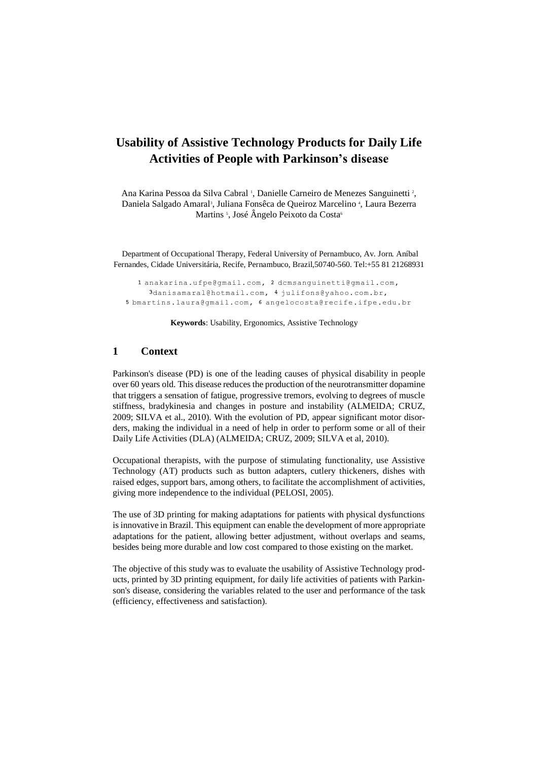# **Usability of Assistive Technology Products for Daily Life Activities of People with Parkinson's disease**

Ana Karina Pessoa da Silva Cabral<sup>1</sup>, Danielle Carneiro de Menezes Sanguinetti<sup>2</sup>, Daniela Salgado Amaral<sup>3</sup>, Juliana Fonsêca de Queiroz Marcelino<sup>4</sup>, Laura Bezerra Martins <sup>5</sup>, José Ângelo Peixoto da Costa<sup>6</sup>

Department of Occupational Therapy, Federal University of Pernambuco, Av. Jorn. Aníbal Fernandes, Cidade Universitária, Recife, Pernambuco, Brazil,50740-560. Tel:+55 81 21268931

1 [anakarina.ufpe@gmail.com,](mailto:1%20anakarina.ufpe@gmail.com) 2 [dcmsanguinetti@gmail.com,](mailto:2%20dcmsanguinetti@gmail.com) 3danisamaral@hotmail.com, 4 [julifons@yahoo.com.br,](mailto:4%20julifons@yahoo.com.br) 5 [bmartins.laura@gmail.com,](mailto:5%20bmartins.laura@gmail.com) 6 angelocosta@recife.ifpe.edu.br

**Keywords**: Usability, Ergonomics, Assistive Technology

## **1 Context**

Parkinson's disease (PD) is one of the leading causes of physical disability in people over 60 years old. This disease reduces the production of the neurotransmitter dopamine that triggers a sensation of fatigue, progressive tremors, evolving to degrees of muscle stiffness, bradykinesia and changes in posture and instability (ALMEIDA; CRUZ, 2009; SILVA et al., 2010). With the evolution of PD, appear significant motor disorders, making the individual in a need of help in order to perform some or all of their Daily Life Activities (DLA) (ALMEIDA; CRUZ, 2009; SILVA et al, 2010).

Occupational therapists, with the purpose of stimulating functionality, use Assistive Technology (AT) products such as button adapters, cutlery thickeners, dishes with raised edges, support bars, among others, to facilitate the accomplishment of activities, giving more independence to the individual (PELOSI, 2005).

The use of 3D printing for making adaptations for patients with physical dysfunctions is innovative in Brazil. This equipment can enable the development of more appropriate adaptations for the patient, allowing better adjustment, without overlaps and seams, besides being more durable and low cost compared to those existing on the market.

The objective of this study was to evaluate the usability of Assistive Technology products, printed by 3D printing equipment, for daily life activities of patients with Parkinson's disease, considering the variables related to the user and performance of the task (efficiency, effectiveness and satisfaction).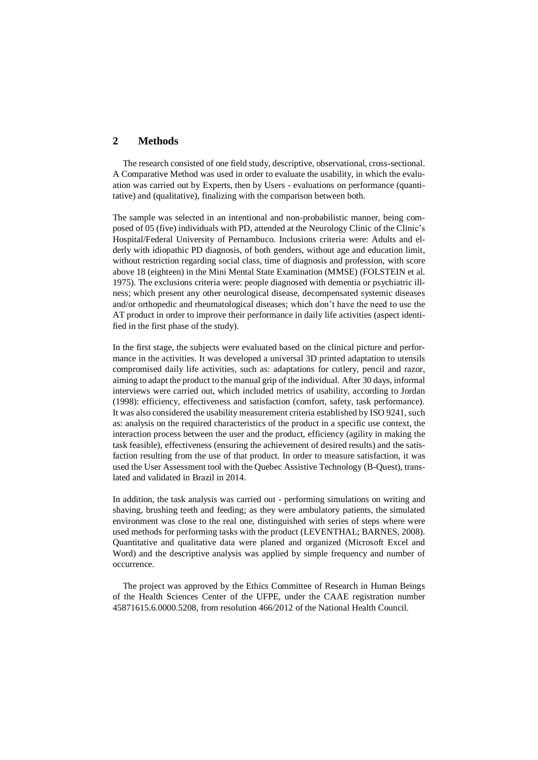# **2 Methods**

The research consisted of one field study, descriptive, observational, cross-sectional. A Comparative Method was used in order to evaluate the usability, in which the evaluation was carried out by Experts, then by Users - evaluations on performance (quantitative) and (qualitative), finalizing with the comparison between both.

The sample was selected in an intentional and non-probabilistic manner, being composed of 05 (five) individuals with PD, attended at the Neurology Clinic of the Clinic's Hospital/Federal University of Pernambuco. Inclusions criteria were: Adults and elderly with idiopathic PD diagnosis, of both genders, without age and education limit, without restriction regarding social class, time of diagnosis and profession, with score above 18 (eighteen) in the Mini Mental State Examination (MMSE) (FOLSTEIN et al. 1975). The exclusions criteria were: people diagnosed with dementia or psychiatric illness; which present any other neurological disease, decompensated systemic diseases and/or orthopedic and rheumatological diseases; which don't have the need to use the AT product in order to improve their performance in daily life activities (aspect identified in the first phase of the study).

In the first stage, the subjects were evaluated based on the clinical picture and performance in the activities. It was developed a universal 3D printed adaptation to utensils compromised daily life activities, such as: adaptations for cutlery, pencil and razor, aiming to adapt the product to the manual grip of the individual. After 30 days, informal interviews were carried out, which included metrics of usability, according to Jordan (1998): efficiency, effectiveness and satisfaction (comfort, safety, task performance). It was also considered the usability measurement criteria established by ISO 9241, such as: analysis on the required characteristics of the product in a specific use context, the interaction process between the user and the product, efficiency (agility in making the task feasible), effectiveness (ensuring the achievement of desired results) and the satisfaction resulting from the use of that product. In order to measure satisfaction, it was used the User Assessment tool with the Quebec Assistive Technology (B-Quest), translated and validated in Brazil in 2014.

In addition, the task analysis was carried out - performing simulations on writing and shaving, brushing teeth and feeding; as they were ambulatory patients, the simulated environment was close to the real one, distinguished with series of steps where were used methods for performing tasks with the product (LEVENTHAL; BARNES, 2008). Quantitative and qualitative data were planed and organized (Microsoft Excel and Word) and the descriptive analysis was applied by simple frequency and number of occurrence.

The project was approved by the Ethics Committee of Research in Human Beings of the Health Sciences Center of the UFPE, under the CAAE registration number 45871615.6.0000.5208, from resolution 466/2012 of the National Health Council.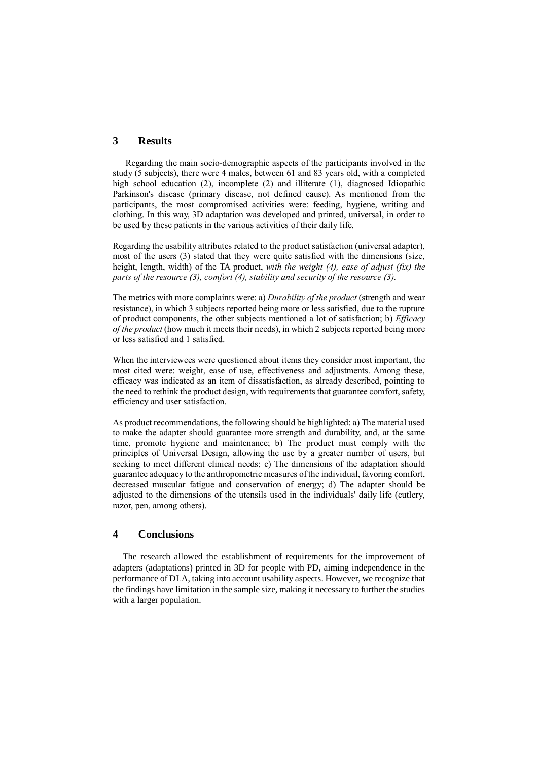# **3 Results**

Regarding the main socio-demographic aspects of the participants involved in the study (5 subjects), there were 4 males, between 61 and 83 years old, with a completed high school education (2), incomplete (2) and illiterate (1), diagnosed Idiopathic Parkinson's disease (primary disease, not defined cause). As mentioned from the participants, the most compromised activities were: feeding, hygiene, writing and clothing. In this way, 3D adaptation was developed and printed, universal, in order to be used by these patients in the various activities of their daily life.

Regarding the usability attributes related to the product satisfaction (universal adapter), most of the users (3) stated that they were quite satisfied with the dimensions (size, height, length, width) of the TA product, *with the weight (4), ease of adjust (fix) the parts of the resource (3), comfort (4), stability and security of the resource (3).*

The metrics with more complaints were: a) *Durability of the product* (strength and wear resistance), in which 3 subjects reported being more or less satisfied, due to the rupture of product components, the other subjects mentioned a lot of satisfaction; b) *Efficacy of the product* (how much it meets their needs), in which 2 subjects reported being more or less satisfied and 1 satisfied.

When the interviewees were questioned about items they consider most important, the most cited were: weight, ease of use, effectiveness and adjustments. Among these, efficacy was indicated as an item of dissatisfaction, as already described, pointing to the need to rethink the product design, with requirements that guarantee comfort, safety, efficiency and user satisfaction.

As product recommendations, the following should be highlighted: a) The material used to make the adapter should guarantee more strength and durability, and, at the same time, promote hygiene and maintenance; b) The product must comply with the principles of Universal Design, allowing the use by a greater number of users, but seeking to meet different clinical needs; c) The dimensions of the adaptation should guarantee adequacy to the anthropometric measures of the individual, favoring comfort, decreased muscular fatigue and conservation of energy; d) The adapter should be adjusted to the dimensions of the utensils used in the individuals' daily life (cutlery, razor, pen, among others).

#### **4 Conclusions**

The research allowed the establishment of requirements for the improvement of adapters (adaptations) printed in 3D for people with PD, aiming independence in the performance of DLA, taking into account usability aspects. However, we recognize that the findings have limitation in the sample size, making it necessary to further the studies with a larger population.